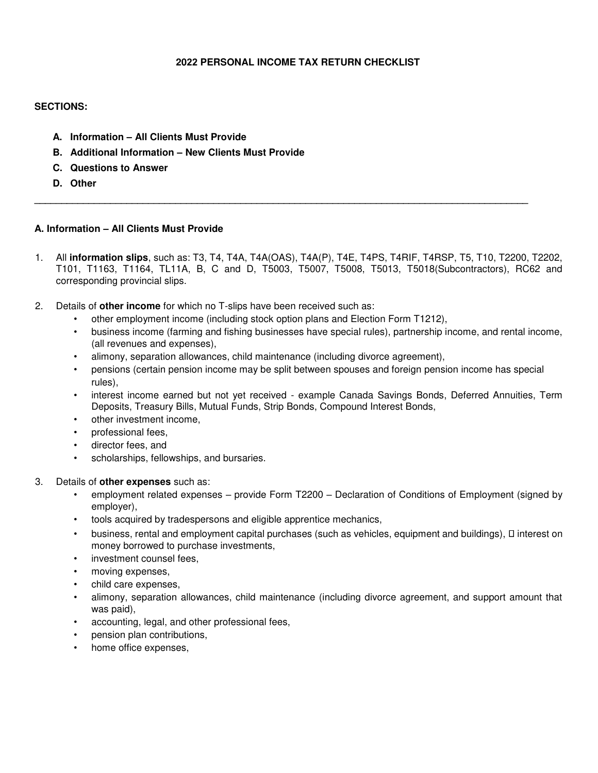## **2022 PERSONAL INCOME TAX RETURN CHECKLIST**

## **SECTIONS:**

- **A. Information – All Clients Must Provide**
- **B. Additional Information – New Clients Must Provide**
- **C. Questions to Answer**
- **D. Other**

# **A. Information – All Clients Must Provide**

1. All **information slips**, such as: T3, T4, T4A, T4A(OAS), T4A(P), T4E, T4PS, T4RIF, T4RSP, T5, T10, T2200, T2202, T101, T1163, T1164, TL11A, B, C and D, T5003, T5007, T5008, T5013, T5018(Subcontractors), RC62 and corresponding provincial slips.

**\_\_\_\_\_\_\_\_\_\_\_\_\_\_\_\_\_\_\_\_\_\_\_\_\_\_\_\_\_\_\_\_\_\_\_\_\_\_\_\_\_\_\_\_\_\_\_\_\_\_\_\_\_\_\_\_\_\_\_\_\_\_\_\_\_\_\_\_\_\_\_\_\_\_\_\_\_\_\_\_\_\_\_\_\_\_\_\_\_\_\_** 

- 2. Details of **other income** for which no T-slips have been received such as:
	- other employment income (including stock option plans and Election Form T1212),
	- business income (farming and fishing businesses have special rules), partnership income, and rental income, (all revenues and expenses),
	- alimony, separation allowances, child maintenance (including divorce agreement),
	- pensions (certain pension income may be split between spouses and foreign pension income has special rules),
	- interest income earned but not yet received example Canada Savings Bonds, Deferred Annuities, Term Deposits, Treasury Bills, Mutual Funds, Strip Bonds, Compound Interest Bonds,
	- other investment income,
	- professional fees,
	- director fees, and
	- scholarships, fellowships, and bursaries.

#### 3. Details of **other expenses** such as:

- employment related expenses provide Form T2200 Declaration of Conditions of Employment (signed by employer),
- tools acquired by tradespersons and eligible apprentice mechanics,
- business, rental and employment capital purchases (such as vehicles, equipment and buildings),  $\square$  interest on money borrowed to purchase investments,
- investment counsel fees,
- moving expenses,
- child care expenses,
- alimony, separation allowances, child maintenance (including divorce agreement, and support amount that was paid),
- accounting, legal, and other professional fees,
- pension plan contributions,
- home office expenses,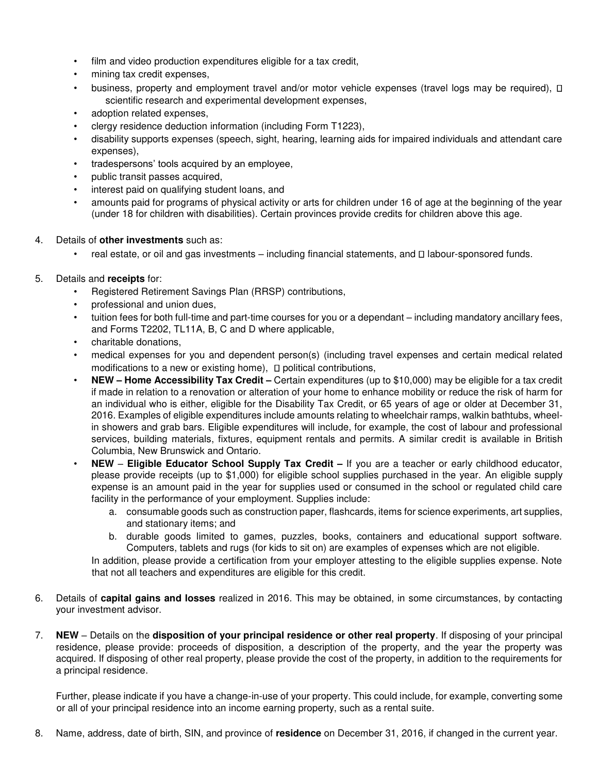- film and video production expenditures eligible for a tax credit,
- mining tax credit expenses,
- business, property and employment travel and/or motor vehicle expenses (travel logs may be required),  $\Box$ scientific research and experimental development expenses,
- adoption related expenses,
- clergy residence deduction information (including Form T1223),
- disability supports expenses (speech, sight, hearing, learning aids for impaired individuals and attendant care expenses),
- tradespersons' tools acquired by an employee,
- public transit passes acquired,
- interest paid on qualifying student loans, and
- amounts paid for programs of physical activity or arts for children under 16 of age at the beginning of the year (under 18 for children with disabilities). Certain provinces provide credits for children above this age.
- 4. Details of **other investments** such as:
	- $\cdot$  real estate, or oil and gas investments including financial statements, and  $\Box$  labour-sponsored funds.
- 5. Details and **receipts** for:
	- Registered Retirement Savings Plan (RRSP) contributions,
	- professional and union dues,
	- tuition fees for both full-time and part-time courses for you or a dependant including mandatory ancillary fees, and Forms T2202, TL11A, B, C and D where applicable,
	- charitable donations,
	- medical expenses for you and dependent person(s) (including travel expenses and certain medical related modifications to a new or existing home),  $\Box$  political contributions,
	- **NEW – Home Accessibility Tax Credit –** Certain expenditures (up to \$10,000) may be eligible for a tax credit if made in relation to a renovation or alteration of your home to enhance mobility or reduce the risk of harm for an individual who is either, eligible for the Disability Tax Credit, or 65 years of age or older at December 31, 2016. Examples of eligible expenditures include amounts relating to wheelchair ramps, walkin bathtubs, wheelin showers and grab bars. Eligible expenditures will include, for example, the cost of labour and professional services, building materials, fixtures, equipment rentals and permits. A similar credit is available in British Columbia, New Brunswick and Ontario.
	- **NEW Eligible Educator School Supply Tax Credit –** If you are a teacher or early childhood educator, please provide receipts (up to \$1,000) for eligible school supplies purchased in the year. An eligible supply expense is an amount paid in the year for supplies used or consumed in the school or regulated child care facility in the performance of your employment. Supplies include:
		- a. consumable goods such as construction paper, flashcards, items for science experiments, art supplies, and stationary items; and
		- b. durable goods limited to games, puzzles, books, containers and educational support software. Computers, tablets and rugs (for kids to sit on) are examples of expenses which are not eligible.

In addition, please provide a certification from your employer attesting to the eligible supplies expense. Note that not all teachers and expenditures are eligible for this credit.

- 6. Details of **capital gains and losses** realized in 2016. This may be obtained, in some circumstances, by contacting your investment advisor.
- 7. **NEW** Details on the **disposition of your principal residence or other real property**. If disposing of your principal residence, please provide: proceeds of disposition, a description of the property, and the year the property was acquired. If disposing of other real property, please provide the cost of the property, in addition to the requirements for a principal residence.

Further, please indicate if you have a change-in-use of your property. This could include, for example, converting some or all of your principal residence into an income earning property, such as a rental suite.

8. Name, address, date of birth, SIN, and province of **residence** on December 31, 2016, if changed in the current year.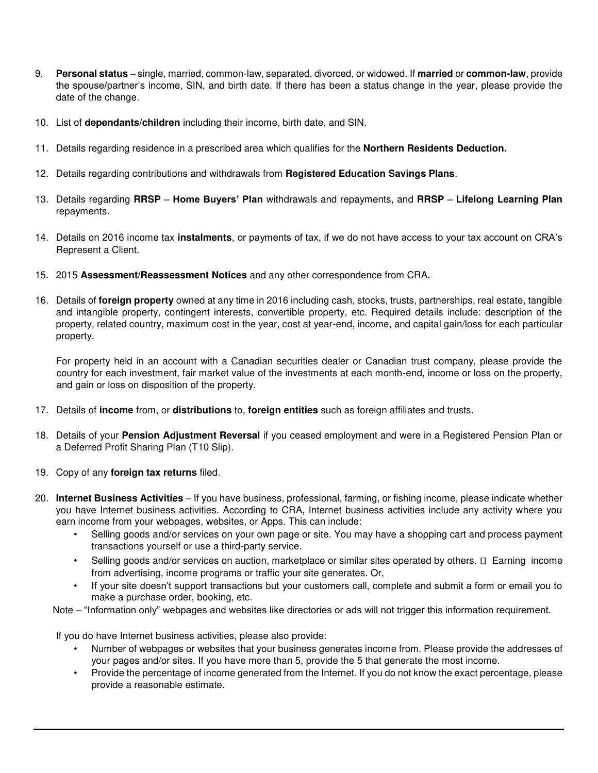- 9. **Personal status**  single, married, common-law, separated, divorced, or widowed. If **married** or **common-law**, provide the spouse/partner's income, SIN, and birth date. If there has been a status change in the year, please provide the date of the change.
- 10. List of **dependants/children** including their income, birth date, and SIN.
- 11. Details regarding residence in a prescribed area which qualifies for the **Northern Residents Deduction.**
- 12. Details regarding contributions and withdrawals from **Registered Education Savings Plans**.
- 13. Details regarding **RRSP Home Buyers' Plan** withdrawals and repayments, and **RRSP** – **Lifelong Learning Plan** repayments.
- 14. Details on 2016 income tax **instalments**, or payments of tax, if we do not have access to your tax account on CRA's Represent a Client.
- 15. 2015 **Assessment/Reassessment Notices** and any other correspondence from CRA.
- 16. Details of **foreign property** owned at any time in 2016 including cash, stocks, trusts, partnerships, real estate, tangible and intangible property, contingent interests, convertible property, etc. Required details include: description of the property, related country, maximum cost in the year, cost at year-end, income, and capital gain/loss for each particular property.

For property held in an account with a Canadian securities dealer or Canadian trust company, please provide the country for each investment, fair market value of the investments at each month-end, income or loss on the property, and gain or loss on disposition of the property.

- 17. Details of **income** from, or **distributions** to, **foreign entities** such as foreign affiliates and trusts.
- 18. Details of your **Pension Adjustment Reversal** if you ceased employment and were in a Registered Pension Plan or a Deferred Profit Sharing Plan (T10 Slip).
- 19. Copy of any **foreign tax returns** filed.
- 20. **Internet Business Activities** If you have business, professional, farming, or fishing income, please indicate whether you have Internet business activities. According to CRA, Internet business activities include any activity where you earn income from your webpages, websites, or Apps. This can include:
	- Selling goods and/or services on your own page or site. You may have a shopping cart and process payment transactions yourself or use a third-party service.
	- Selling goods and/or services on auction, marketplace or similar sites operated by others.  $\Box$  Earning income from advertising, income programs or traffic your site generates. Or,
	- If your site doesn't support transactions but your customers call, complete and submit a form or email you to make a purchase order, booking, etc.
	- Note "Information only" webpages and websites like directories or ads will not trigger this information requirement.

If you do have Internet business activities, please also provide:

- Number of webpages or websites that your business generates income from. Please provide the addresses of your pages and/or sites. If you have more than 5, provide the 5 that generate the most income.
- Provide the percentage of income generated from the Internet. If you do not know the exact percentage, please provide a reasonable estimate.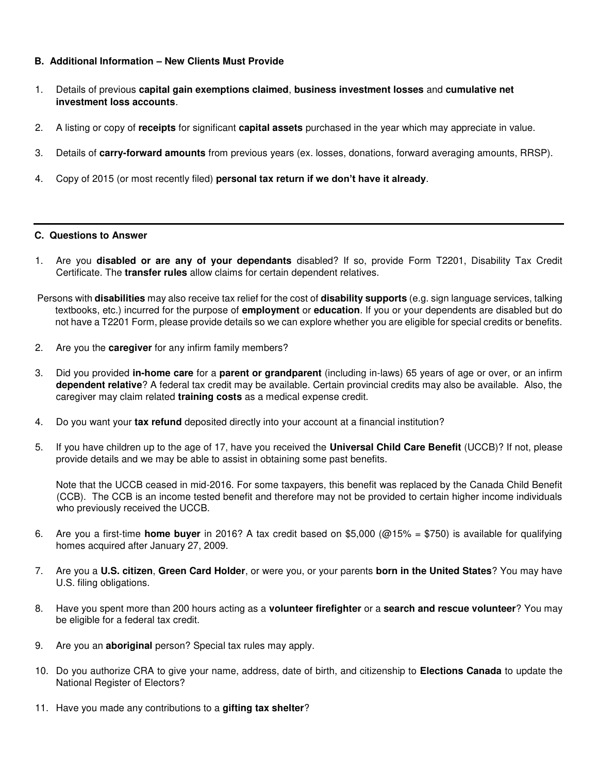### **B. Additional Information – New Clients Must Provide**

- 1. Details of previous **capital gain exemptions claimed**, **business investment losses** and **cumulative net investment loss accounts**.
- 2. A listing or copy of **receipts** for significant **capital assets** purchased in the year which may appreciate in value.
- 3. Details of **carry-forward amounts** from previous years (ex. losses, donations, forward averaging amounts, RRSP).
- 4. Copy of 2015 (or most recently filed) **personal tax return if we don't have it already**.

#### **C. Questions to Answer**

- 1. Are you **disabled or are any of your dependants** disabled? If so, provide Form T2201, Disability Tax Credit Certificate. The **transfer rules** allow claims for certain dependent relatives.
- Persons with **disabilities** may also receive tax relief for the cost of **disability supports** (e.g. sign language services, talking textbooks, etc.) incurred for the purpose of **employment** or **education**. If you or your dependents are disabled but do not have a T2201 Form, please provide details so we can explore whether you are eligible for special credits or benefits.
- 2. Are you the **caregiver** for any infirm family members?
- 3. Did you provided **in-home care** for a **parent or grandparent** (including in-laws) 65 years of age or over, or an infirm **dependent relative**? A federal tax credit may be available. Certain provincial credits may also be available. Also, the caregiver may claim related **training costs** as a medical expense credit.
- 4. Do you want your **tax refund** deposited directly into your account at a financial institution?
- 5. If you have children up to the age of 17, have you received the **Universal Child Care Benefit** (UCCB)? If not, please provide details and we may be able to assist in obtaining some past benefits.

Note that the UCCB ceased in mid-2016. For some taxpayers, this benefit was replaced by the Canada Child Benefit (CCB). The CCB is an income tested benefit and therefore may not be provided to certain higher income individuals who previously received the UCCB.

- 6. Are you a first-time **home buyer** in 2016? A tax credit based on \$5,000 (@15% = \$750) is available for qualifying homes acquired after January 27, 2009.
- 7. Are you a **U.S. citizen**, **Green Card Holder**, or were you, or your parents **born in the United States**? You may have U.S. filing obligations.
- 8. Have you spent more than 200 hours acting as a **volunteer firefighter** or a **search and rescue volunteer**? You may be eligible for a federal tax credit.
- 9. Are you an **aboriginal** person? Special tax rules may apply.
- 10. Do you authorize CRA to give your name, address, date of birth, and citizenship to **Elections Canada** to update the National Register of Electors?
- 11. Have you made any contributions to a **gifting tax shelter**?